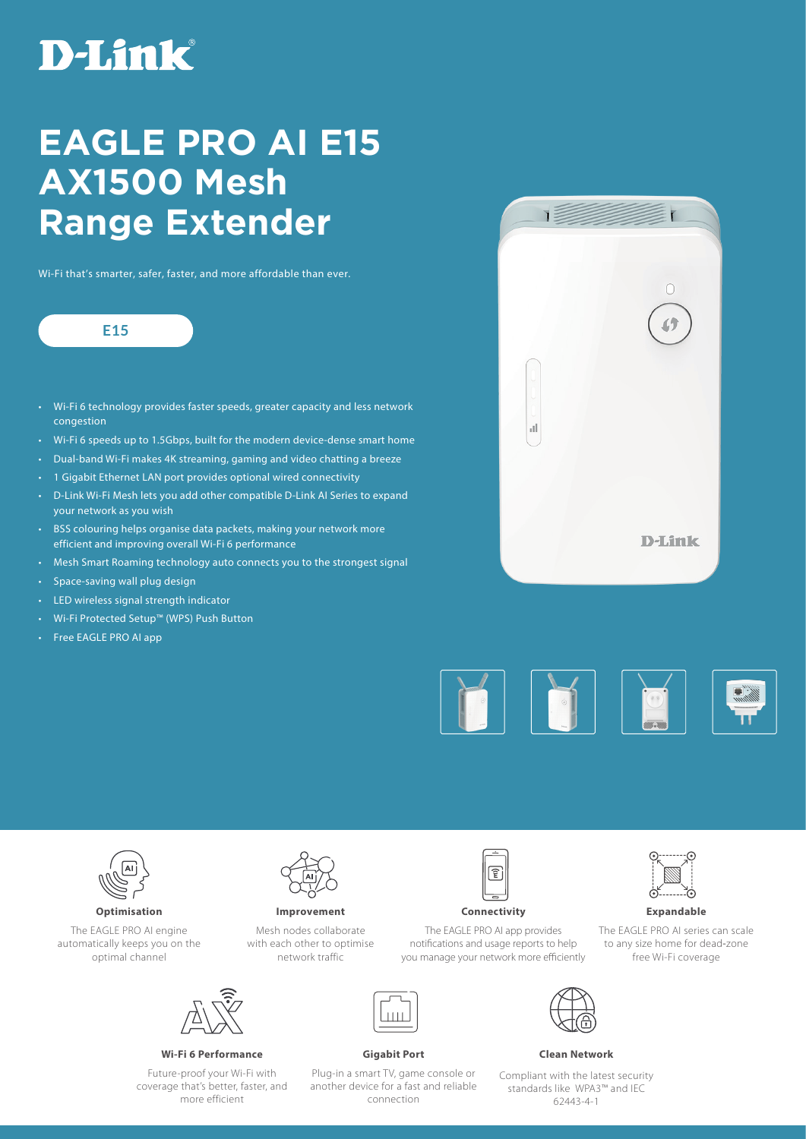# **D-Link**

## **EAGLE PRO AI E15 AX1500 Mesh Range Extender**

Wi-Fi that's smarter, safer, faster, and more affordable than ever.

### **E15**

- Wi-Fi 6 technology provides faster speeds, greater capacity and less network congestion
- Wi-Fi 6 speeds up to 1.5Gbps, built for the modern device-dense smart home
- Dual-band Wi-Fi makes 4K streaming, gaming and video chatting a breeze
- 1 Gigabit Ethernet LAN port provides optional wired connectivity
- D-Link Wi-Fi Mesh lets you add other compatible D-Link AI Series to expand your network as you wish
- BSS colouring helps organise data packets, making your network more efficient and improving overall Wi-Fi 6 performance
- Mesh Smart Roaming technology auto connects you to the strongest signal
- Space-saving wall plug design
- LED wireless signal strength indicator
- Wi-Fi Protected Setup™ (WPS) Push Button
- Free EAGLE PRO AI app







The EAGLE PRO AI engine

automatically keeps you on the optimal channel



**Improvement**

Mesh nodes collaborate with each other to optimise network traffic



**Optimisation Connectivity** 

The EAGLE PRO AI app provides notifications and usage reports to help you manage your network more efficiently



**Expandable**

The EAGLE PRO AI series can scale to any size home for dead-zone free Wi-Fi coverage



**Wi-Fi 6 Performance Gigabit Port Clean Network** 

Future-proof your Wi-Fi with coverage that's better, faster, and more efficient





Compliant with the latest security standards like WPA3™ and IEC 62443-4-1

Plug-in a smart TV, game console or another device for a fast and reliable connection